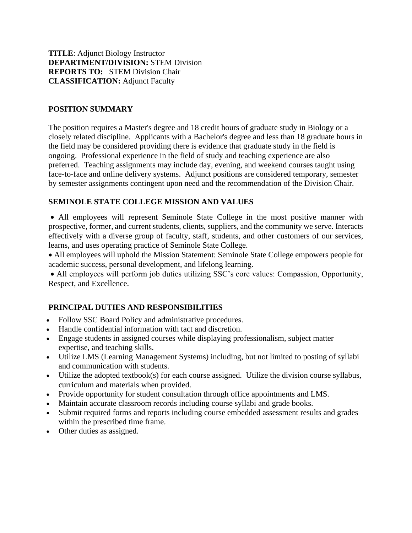**TITLE**: Adjunct Biology Instructor **DEPARTMENT/DIVISION:** STEM Division **REPORTS TO:** STEM Division Chair **CLASSIFICATION:** Adjunct Faculty

## **POSITION SUMMARY**

The position requires a Master's degree and 18 credit hours of graduate study in Biology or a closely related discipline. Applicants with a Bachelor's degree and less than 18 graduate hours in the field may be considered providing there is evidence that graduate study in the field is ongoing. Professional experience in the field of study and teaching experience are also preferred. Teaching assignments may include day, evening, and weekend courses taught using face-to-face and online delivery systems. Adjunct positions are considered temporary, semester by semester assignments contingent upon need and the recommendation of the Division Chair.

#### **SEMINOLE STATE COLLEGE MISSION AND VALUES**

• All employees will represent Seminole State College in the most positive manner with prospective, former, and current students, clients, suppliers, and the community we serve. Interacts effectively with a diverse group of faculty, staff, students, and other customers of our services, learns, and uses operating practice of Seminole State College.

• All employees will uphold the Mission Statement: Seminole State College empowers people for academic success, personal development, and lifelong learning.

• All employees will perform job duties utilizing SSC's core values: Compassion, Opportunity, Respect, and Excellence.

## **PRINCIPAL DUTIES AND RESPONSIBILITIES**

- Follow SSC Board Policy and administrative procedures.
- Handle confidential information with tact and discretion.
- Engage students in assigned courses while displaying professionalism, subject matter expertise, and teaching skills.
- Utilize LMS (Learning Management Systems) including, but not limited to posting of syllabi and communication with students.
- Utilize the adopted textbook(s) for each course assigned. Utilize the division course syllabus, curriculum and materials when provided.
- Provide opportunity for student consultation through office appointments and LMS.
- Maintain accurate classroom records including course syllabi and grade books.
- Submit required forms and reports including course embedded assessment results and grades within the prescribed time frame.
- Other duties as assigned.